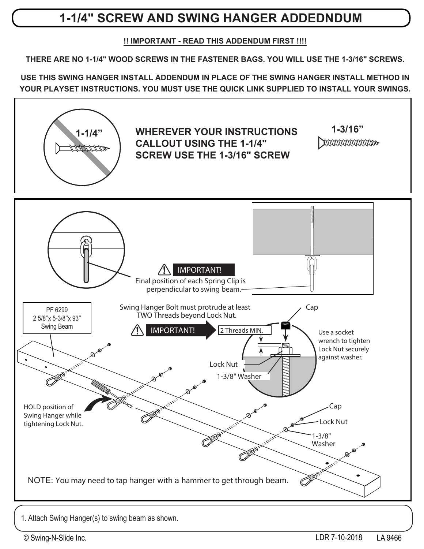#### **SWING BEAM SWING HANGERS - INSTALL 1-1/4" SCREW AND SWING HANGER ADDEDNDUM**

#### **!! IMPORTANT - READ THIS ADDENDUM FIRST !!!!**

**Swing Beam THERE ARE NO 1-1/4" WOOD SCREWS IN THE FASTENER BAGS. YOU WILL USE THE 1-3/16" SCREWS.**

**Flat Washer YOUR PLAYSET INSTRUCTIONS. YOU MUST USE THE QUICK LINK SUPPLIED TO INSTALL YOUR SWINGS. USE THIS SWING HANGER INSTALL ADDENDUM IN PLACE OF THE SWING HANGER INSTALL METHOD IN**